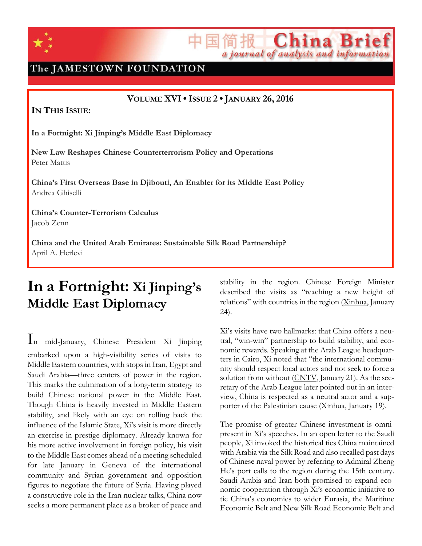

The JAMESTOWN FOUNDATION

**VOLUME XVI•ISSUE 2 • JANUARY 26, 2016**

**IN THIS ISSUE:**

**In a Fortnight: Xi Jinping's Middle East Diplomacy**

**New Law Reshapes Chinese Counterterrorism Policy and Operations** Peter Mattis

**China's First Overseas Base in Djibouti, An Enabler for its Middle East Policy** Andrea Ghiselli

**China's Counter-Terrorism Calculus** Jacob Zenn

**China and the United Arab Emirates: Sustainable Silk Road Partnership?** April A. Herlevi

# **In a Fortnight: Xi Jinping's Middle East Diplomacy**

I<sup>n</sup> mid-January, Chinese President Xi Jinping embarked upon a high-visibility series of visits to Middle Eastern countries, with stops in Iran, Egypt and Saudi Arabia—three centers of power in the region. This marks the culmination of a long-term strategy to build Chinese national power in the Middle East. Though China is heavily invested in Middle Eastern stability, and likely with an eye on rolling back the influence of the Islamic State, Xi's visit is more directly an exercise in prestige diplomacy. Already known for his more active involvement in foreign policy, his visit to the Middle East comes ahead of a meeting scheduled for late January in Geneva of the international community and Syrian government and opposition figures to negotiate the future of Syria. Having played a constructive role in the Iran nuclear talks, China now seeks a more permanent place as a broker of peace and stability in the region. Chinese Foreign Minister described the visits as "reaching a new height of relations" with countries in the region [\(Xinhua,](http://www.chinanews.com/gn/2016/01-24/7730117.shtml) January 24).

China Br

a journal of analysis and information

Xi's visits have two hallmarks: that China offers a neutral, "win-win" partnership to build stability, and economic rewards. Speaking at the Arab League headquarters in Cairo, Xi noted that "the international community should respect local actors and not seek to force a solution from without [\(CNTV,](http://news.cntv.cn/2016/01/21/ARTIwrf4xs4USI3gmGxOrlfm160121.shtml) January 21). As the secretary of the Arab League later pointed out in an interview, China is respected as a neutral actor and a supporter of the Palestinian cause [\(Xinhua,](http://www.globaltimes.cn/content/964362.shtml) January 19).

The promise of greater Chinese investment is omnipresent in Xi's speeches. In an open letter to the Saudi people, Xi invoked the historical ties China maintained with Arabia via the Silk Road and also recalled past days of Chinese naval power by referring to Admiral Zheng He's port calls to the region during the 15th century. Saudi Arabia and Iran both promised to expand economic cooperation through Xi's economic initiative to tie China's economies to wider Eurasia, the Maritime Economic Belt and New Silk Road Economic Belt and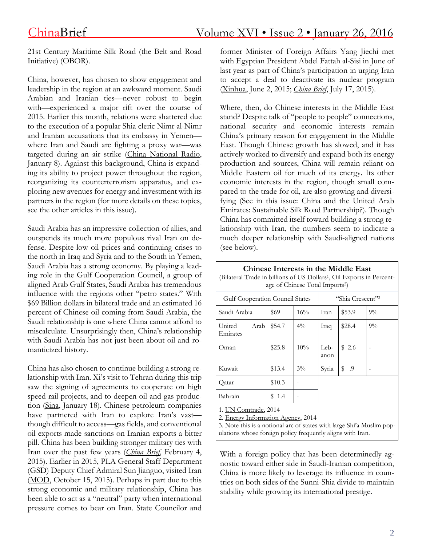21st Century Maritime Silk Road (the Belt and Road Initiative) (OBOR).

China, however, has chosen to show engagement and leadership in the region at an awkward moment. Saudi Arabian and Iranian ties—never robust to begin with—experienced a major rift over the course of 2015. Earlier this month, relations were shattered due to the execution of a popular Shia cleric Nimr al-Nimr and Iranian accusations that its embassy in Yemen where Iran and Saudi are fighting a proxy war—was targeted during an air strike (China [National](http://china.cnr.cn/xwwgf/20160108/t20160108_521081886.shtml) Radio, January 8). Against this background, China is expanding its ability to project power throughout the region, reorganizing its counterterrorism apparatus, and exploring new avenues for energy and investment with its partners in the region (for more details on these topics, see the other articles in this issue).

Saudi Arabia has an impressive collection of allies, and outspends its much more populous rival Iran on defense. Despite low oil prices and continuing crises to the north in Iraq and Syria and to the South in Yemen, Saudi Arabia has a strong economy. By playing a leading role in the Gulf Cooperation Council, a group of aligned Arab Gulf States, Saudi Arabia has tremendous influence with the regions other "petro states." With \$69 Billion dollars in bilateral trade and an estimated 16 percent of Chinese oil coming from Saudi Arabia, the Saudi relationship is one where China cannot afford to miscalculate. Unsurprisingly then, China's relationship with Saudi Arabia has not just been about oil and romanticized history.

China has also chosen to continue building a strong relationship with Iran. Xi's visit to Tehran during this trip saw the signing of agreements to cooperate on high speed rail projects, and to deepen oil and gas production [\(Sina,](http://news.sina.com.cn/c/nd/2016-01-18/doc-ifxnqriz9782665.shtml) January 18). Chinese petroleum companies have partnered with Iran to explore Iran's vastthough difficult to access—gas fields, and conventional oil exports made sanctions on Iranian exports a bitter pill. China has been building stronger military ties with Iran over the past few years (*[China](http://www.jamestown.org/programs/chinabrief/single/?tx_ttnews%5Btt_news%5D=43497&tx_ttnews%5BbackPid%5D=789&no_cache=1) Brief*, February 4, 2015). Earlier in 2015, PLA General Staff Department (GSD) Deputy Chief Admiral Sun Jianguo, visited Iran [\(MOD,](http://news.mod.gov.cn/headlines/2015-10/15/content_4624278.htm) October 15, 2015). Perhaps in part due to this strong economic and military relationship, China has been able to act as a "neutral" party when international pressure comes to bear on Iran. State Councilor and

former Minister of Foreign Affairs Yang Jiechi met with Egyptian President Abdel Fattah al-Sisi in June of last year as part of China's participation in urging Iran to accept a deal to deactivate its nuclear program [\(Xinhua,](http://news.xinhuanet.com/2014-06/16/c_126627550.htm) June 2, 2015; *[China](http://www.jamestown.org/programs/chinabrief/single/?tx_ttnews%255Btt_news%255D=44172&tx_ttnews%255BbackPid%255D=789&no_cache=1#.VqWdw8deYWw) Brief*, July 17, 2015).

Where, then, do Chinese interests in the Middle East stand? Despite talk of "people to people" connections, national security and economic interests remain China's primary reason for engagement in the Middle East. Though Chinese growth has slowed, and it has actively worked to diversify and expand both its energy production and sources, China will remain reliant on Middle Eastern oil for much of its energy. Its other economic interests in the region, though small compared to the trade for oil, are also growing and diversifying (See in this issue: China and the United Arab Emirates: Sustainable Silk Road Partnership?). Though China has committed itself toward building a strong relationship with Iran, the numbers seem to indicate a much deeper relationship with Saudi-aligned nations (see below).

**Chinese Interests in the Middle East**

| (Bilateral Trade in billions of US Dollars <sup>1</sup> , Oil Exports in Percent-<br>age of Chinese Total Imports <sup>2</sup> )                                                                  |        |       |                              |                |       |
|---------------------------------------------------------------------------------------------------------------------------------------------------------------------------------------------------|--------|-------|------------------------------|----------------|-------|
| Gulf Cooperation Council States                                                                                                                                                                   |        |       | "Shia Crescent" <sup>3</sup> |                |       |
| Saudi Arabia                                                                                                                                                                                      | \$69   | 16%   | Iran                         | \$53.9         | $9\%$ |
| Arab<br>United<br>Emirates                                                                                                                                                                        | \$54.7 | $4\%$ | Iraq                         | \$28.4         | $9\%$ |
| Oman                                                                                                                                                                                              | \$25.8 | 10%   | Leb-<br>anon                 | \$2.6          |       |
| Kuwait                                                                                                                                                                                            | \$13.4 | $3\%$ | Syria                        | $\text{\$}$ .9 |       |
| Qatar                                                                                                                                                                                             | \$10.3 |       |                              |                |       |
| Bahrain                                                                                                                                                                                           | \$1.4  |       |                              |                |       |
| 1. UN Comtrade, 2014<br>2. Energy Information Agency, 2014<br>3. Note this is a notional arc of states with large Shi'a Muslim pop-<br>ulations whose foreign policy frequently aligns with Iran. |        |       |                              |                |       |

With a foreign policy that has been determinedly agnostic toward either side in Saudi-Iranian competition, China is more likely to leverage its influence in countries on both sides of the Sunni-Shia divide to maintain stability while growing its international prestige.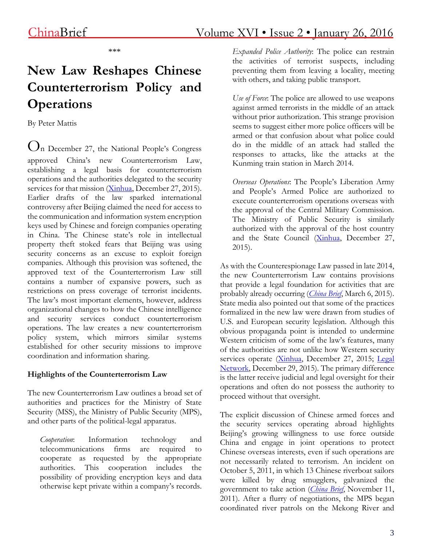\*\*\*

# **New Law Reshapes Chinese Counterterrorism Policy and Operations**

By Peter Mattis

 $O_n$  December 27, the National People's Congress approved China's new Counterterrorism Law, establishing a legal basis for counterterrorism operations and the authorities delegated to the security services for that mission [\(Xinhua,](http://news.xinhuanet.com/2015-12/27/c_128571798.htm) December 27, 2015). Earlier drafts of the law sparked international controversy after Beijing claimed the need for access to the communication and information system encryption keys used by Chinese and foreign companies operating in China. The Chinese state's role in intellectual property theft stoked fears that Beijing was using security concerns as an excuse to exploit foreign companies. Although this provision was softened, the approved text of the Counterterrorism Law still contains a number of expansive powers, such as restrictions on press coverage of terrorist incidents. The law's most important elements, however, address organizational changes to how the Chinese intelligence and security services conduct counterterrorism operations. The law creates a new counterterrorism policy system, which mirrors similar systems established for other security missions to improve coordination and information sharing.

#### **Highlights of the Counterterrorism Law**

The new Counterterrorism Law outlines a broad set of authorities and practices for the Ministry of State Security (MSS), the Ministry of Public Security (MPS), and other parts of the political-legal apparatus.

*Cooperation*: Information technology and telecommunications firms are required to cooperate as requested by the appropriate authorities. This cooperation includes the possibility of providing encryption keys and data otherwise kept private within a company's records. *Expanded Police Authority*: The police can restrain the activities of terrorist suspects, including preventing them from leaving a locality, meeting with others, and taking public transport.

*Use of Force*: The police are allowed to use weapons against armed terrorists in the middle of an attack without prior authorization. This strange provision seems to suggest either more police officers will be armed or that confusion about what police could do in the middle of an attack had stalled the responses to attacks, like the attacks at the Kunming train station in March 2014.

*Overseas Operations*: The People's Liberation Army and People's Armed Police are authorized to execute counterterrorism operations overseas with the approval of the Central Military Commission. The Ministry of Public Security is similarly authorized with the approval of the host country and the State Council [\(Xinhua,](http://news.xinhuanet.com/english/2015-12/27/c_134955929.htm) December 27, 2015).

As with the Counterespionage Law passed in late 2014, the new Counterterrorism Law contains provisions that provide a legal foundation for activities that are probably already occurring (*[China](http://www.jamestown.org/single/?tx_ttnews%255Btt_news%255D=43624&no_cache=1#.VoQ06korLIU) Brief*, March 6, 2015). State media also pointed out that some of the practices formalized in the new law were drawn from studies of U.S. and European security legislation. Although this obvious propaganda point is intended to undermine Western criticism of some of the law's features, many of the authorities are not unlike how Western security services operate [\(Xinhua,](http://news.xinhuanet.com/english/2015-12/27/c_134955837.htm) December 27, 2015; [Legal](http://www.fzshb.cn/2015/fzsp_1229/17059.html) [Network,](http://www.fzshb.cn/2015/fzsp_1229/17059.html) December 29, 2015). The primary difference is the latter receive judicial and legal oversight for their operations and often do not possess the authority to proceed without that oversight.

The explicit discussion of Chinese armed forces and the security services operating abroad highlights Beijing's growing willingness to use force outside China and engage in joint operations to protect Chinese overseas interests, even if such operations are not necessarily related to terrorism. An incident on October 5, 2011, in which 13 Chinese riverboat sailors were killed by drug smugglers, galvanized the government to take action (*[China](http://www.jamestown.org/single/?tx_ttnews%255Btt_news%255D=38657&no_cache=1#.Vo8DJvkrLIU) Brief*, November 11, 2011). After a flurry of negotiations, the MPS began coordinated river patrols on the Mekong River and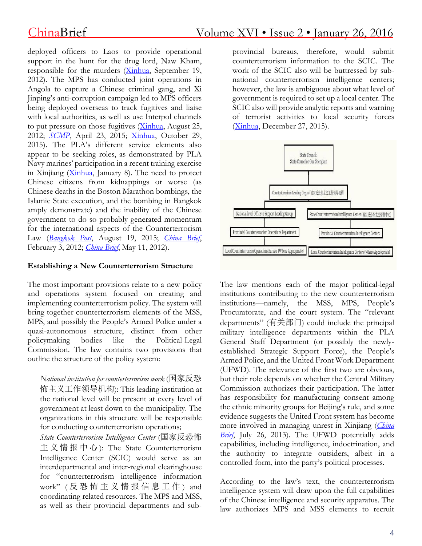deployed officers to Laos to provide operational support in the hunt for the drug lord, Naw Kham, responsible for the murders [\(Xinhua,](http://news.xinhuanet.com/english/china/2012-09/19/c_131860967.htm) September 19, 2012). The MPS has conducted joint operations in Angola to capture a Chinese criminal gang, and Xi Jinping's anti-corruption campaign led to MPS officers being deployed overseas to track fugitives and liaise with local authorities, as well as use Interpol channels to put pressure on those fugitives [\(Xinhua,](http://www.ah.xinhua.org/news/2012-08/25/content_25545675.htm) August 25, 2012; *[SCMP](http://www.scmp.com/news/china/policies-politics/article/1773872/chinas-graft-busters-release-list-100-wanted-fugitives)*, April 23, 2015; [Xinhua,](http://news.xinhuanet.com/english/2015-10/29/c_134762481.htm) October 29, 2015). The PLA's different service elements also appear to be seeking roles, as demonstrated by PLA Navy marines' participation in a recent training exercise in Xinjiang [\(Xinhua,](http://news.xinhuanet.com/mil/2016-01/08/c_128606870.htm) January 8). The need to protect Chinese citizens from kidnappings or worse (as Chinese deaths in the Boston Marathon bombings, the Islamic State execution, and the bombing in Bangkok amply demonstrate) and the inability of the Chinese government to do so probably generated momentum for the international aspects of the Counterterrorism Law (*[Bangkok](http://www.bangkokpost.com/archive/city-police-probe-uighur-revenge-motive-for-blast/660640) Post*, August 19, 2015; *[China](http://www.jamestown.org/single/?tx_ttnews%255Btt_news%255D=38964&no_cache=1#.Vp_dNvkrLIU) Brief*, February 3, 2012; *[China](http://www.jamestown.org/single/?no_cache=1&tx_ttnews%255Btt_news%255D=39362#.Vp_czfkrLIU) Brief*, May 11, 2012).

#### **Establishing a New Counterterrorism Structure**

The most important provisions relate to a new policy and operations system focused on creating and implementing counterterrorism policy. The system will bring together counterterrorism elements of the MSS, MPS, and possibly the People's Armed Police under a quasi-autonomous structure, distinct from other policymaking bodies like the Political-Legal Commission. The law contains two provisions that outline the structure of the policy system:

*National institution for counterterrorism work* (国家反恐 怖主义工作领导机构): This leading institution at the national level will be present at every level of government at least down to the municipality. The organizations in this structure will be responsible for conducting counterterrorism operations;

*State Counterterrorism Intelligence Center* (国家反恐怖 主 义 情 报 中 心 ): The State Counterterrorism Intelligence Center (SCIC) would serve as an interdepartmental and inter-regional clearinghouse for "counterterrorism intelligence information work" ( 反 恐 怖 主 义 情 报 信 息 工 作 ) and coordinating related resources. The MPS and MSS, as well as their provincial departments and subprovincial bureaus, therefore, would submit counterterrorism information to the SCIC. The work of the SCIC also will be buttressed by subnational counterterrorism intelligence centers; however, the law is ambiguous about what level of government is required to set up a local center. The SCIC also will provide analytic reports and warning of terrorist activities to local security forces [\(Xinhua,](http://news.xinhuanet.com/2015-12/27/c_128571798.htm) December 27, 2015).



The law mentions each of the major political-legal institutions contributing to the new counterterrorism institutions—namely, the MSS, MPS, People's Procuratorate, and the court system. The "relevant departments" (有关部门) could include the principal military intelligence departments within the PLA General Staff Department (or possibly the newlyestablished Strategic Support Force), the People's Armed Police, and the United Front Work Department (UFWD). The relevance of the first two are obvious, but their role depends on whether the Central Military Commission authorizes their participation. The latter has responsibility for manufacturing consent among the ethnic minority groups for Beijing's rule, and some evidence suggests the United Front system has become more involved in managing unrest in Xinjiang (*[China](http://www.jamestown.org/programs/chinabrief/single/?tx_ttnews%255Btt_news%255D=41180&cHash=3902ecdc951e5366abf04823ca9f5a0a#.VoRpdUorLIU) [Brief](http://www.jamestown.org/programs/chinabrief/single/?tx_ttnews%255Btt_news%255D=41180&cHash=3902ecdc951e5366abf04823ca9f5a0a#.VoRpdUorLIU)*, July 26, 2013). The UFWD potentially adds capabilities, including intelligence, indoctrination, and the authority to integrate outsiders, albeit in a controlled form, into the party's political processes.

According to the law's text, the counterterrorism intelligence system will draw upon the full capabilities of the Chinese intelligence and security apparatus. The law authorizes MPS and MSS elements to recruit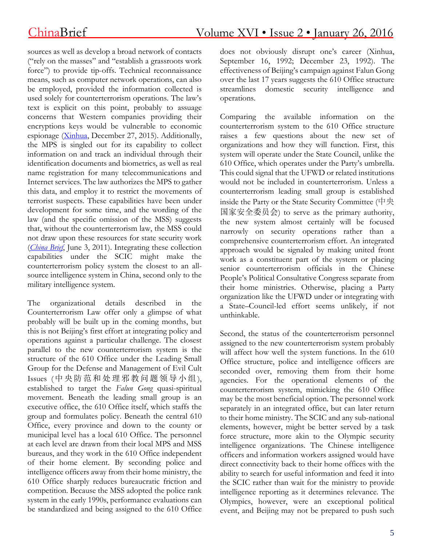sources as well as develop a broad network of contacts ("rely on the masses" and "establish a grassroots work force") to provide tip-offs. Technical reconnaissance means, such as computer network operations, can also be employed, provided the information collected is used solely for counterterrorism operations. The law's text is explicit on this point, probably to assuage concerns that Western companies providing their encryptions keys would be vulnerable to economic espionage [\(Xinhua,](http://news.xinhuanet.com/2015-12/27/c_128571798.htm) December 27, 2015). Additionally, the MPS is singled out for its capability to collect information on and track an individual through their identification documents and biometrics, as well as real name registration for many telecommunications and Internet services. The law authorizes the MPS to gather this data, and employ it to restrict the movements of terrorist suspects. These capabilities have been under development for some time, and the wording of the law (and the specific omission of the MSS) suggests that, without the counterterrorism law, the MSS could not draw upon these resources for state security work (*[China](http://www.jamestown.org/single/?no_cache=1&tx_ttnews%255Btt_news%255D=38013) Brief*, June 3, 2011). Integrating these collection capabilities under the SCIC might make the counterterrorism policy system the closest to an allsource intelligence system in China, second only to the military intelligence system.

The organizational details described in the Counterterrorism Law offer only a glimpse of what probably will be built up in the coming months, but this is not Beijing's first effort at integrating policy and operations against a particular challenge. The closest parallel to the new counterterrorism system is the structure of the 610 Office under the Leading Small Group for the Defense and Management of Evil Cult Issues (中央防范和处理邪教问题领导小组), established to target the *Falun Gong* quasi-spiritual movement. Beneath the leading small group is an executive office, the 610 Office itself, which staffs the group and formulates policy. Beneath the central 610 Office, every province and down to the county or municipal level has a local 610 Office. The personnel at each level are drawn from their local MPS and MSS bureaus, and they work in the 610 Office independent of their home element. By seconding police and intelligence officers away from their home ministry, the 610 Office sharply reduces bureaucratic friction and competition. Because the MSS adopted the police rank system in the early 1990s, performance evaluations can be standardized and being assigned to the 610 Office does not obviously disrupt one's career (Xinhua, September 16, 1992; December 23, 1992). The effectiveness of Beijing's campaign against Falun Gong over the last 17 years suggests the 610 Office structure streamlines domestic security intelligence and operations.

Comparing the available information on the counterterrorism system to the 610 Office structure raises a few questions about the new set of organizations and how they will function. First, this system will operate under the State Council, unlike the 610 Office, which operates under the Party's umbrella. This could signal that the UFWD or related institutions would not be included in counterterrorism. Unless a counterterrorism leading small group is established inside the Party or the State Security Committee (中央 国家安全委员会) to serve as the primary authority, the new system almost certainly will be focused narrowly on security operations rather than a comprehensive counterterrorism effort. An integrated approach would be signaled by making united front work as a constituent part of the system or placing senior counterterrorism officials in the Chinese People's Political Consultative Congress separate from their home ministries. Otherwise, placing a Party organization like the UFWD under or integrating with a State–Council-led effort seems unlikely, if not unthinkable.

Second, the status of the counterterrorism personnel assigned to the new counterterrorism system probably will affect how well the system functions. In the 610 Office structure, police and intelligence officers are seconded over, removing them from their home agencies. For the operational elements of the counterterrorism system, mimicking the 610 Office may be the most beneficial option. The personnel work separately in an integrated office, but can later return to their home ministry. The SCIC and any sub-national elements, however, might be better served by a task force structure, more akin to the Olympic security intelligence organizations. The Chinese intelligence officers and information workers assigned would have direct connectivity back to their home offices with the ability to search for useful information and feed it into the SCIC rather than wait for the ministry to provide intelligence reporting as it determines relevance. The Olympics, however, were an exceptional political event, and Beijing may not be prepared to push such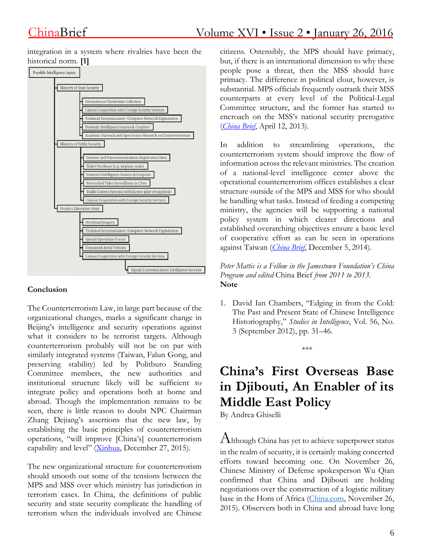integration in a system where rivalries have been the historical norm. **[1]**



#### **Conclusion**

The Counterterrorism Law, in large part because of the organizational changes, marks a significant change in Beijing's intelligence and security operations against what it considers to be terrorist targets. Although counterterrorism probably will not be on par with similarly integrated systems (Taiwan, Falun Gong, and preserving stability) led by Politburo Standing Committee members, the new authorities and institutional structure likely will be sufficient to integrate policy and operations both at home and abroad. Though the implementation remains to be seen, there is little reason to doubt NPC Chairman Zhang Dejiang's assertions that the new law, by establishing the basic principles of counterterrorism operations, "will improve [China's] counterterrorism capability and level" [\(Xinhua,](http://www.npc.gov.cn/npc/xinwen/2015-12/28/content_1957328.htm) December 27, 2015).

The new organizational structure for counterterrorism should smooth out some of the tensions between the MPS and MSS over which ministry has jurisdiction in terrorism cases. In China, the definitions of public security and state security complicate the handling of terrorism when the individuals involved are Chinese citizens. Ostensibly, the MPS should have primacy, but, if there is an international dimension to why these people pose a threat, then the MSS should have primacy. The difference in political clout, however, is substantial. MPS officials frequently outrank their MSS counterparts at every level of the Political-Legal Committee structure, and the former has started to encroach on the MSS's national security prerogative (*[China](http://www.jamestown.org/programs/chinabrief/single/?tx_ttnews%255Btt_news%255D=40721&cHash=f1a040999f18d83c1c56713807fc5e6f) Brief*, April 12, 2013).

In addition to streamlining operations, the counterterrorism system should improve the flow of information across the relevant ministries. The creation of a national-level intelligence center above the operational counterterrorism offices establishes a clear structure outside of the MPS and MSS for who should be handling what tasks. Instead of feeding a competing ministry, the agencies will be supporting a national policy system in which clearer directions and established overarching objectives ensure a basic level of cooperative effort as can be seen in operations against Taiwan (*[China](http://www.jamestown.org/programs/chinabrief/single/?tx_ttnews%255Btt_news%255D=43161&cHash=65b3729a7a402f49610ea0b38e9463ee#.Vo7G-EorLIU) Brief*, December 5, 2014).

*Peter Mattis is a Fellow in the Jamestown Foundation's China Program and edited* China Brief *from 2011 to 2013.* **Note**

1. David Ian Chambers, "Edging in from the Cold: The Past and Present State of Chinese Intelligence Historiography," *Studies in Intelligence*, Vol. 56, No. 3 (September 2012), pp. 31–46.

\*\*\*

# **China's First Overseas Base in Djibouti, An Enabler of its Middle East Policy**

By Andrea Ghiselli

 $A$ lthough China has yet to achieve superpower status in the realm of security, it is certainly making concerted efforts toward becoming one. On November 26, Chinese Ministry of Defense spokesperson Wu Qian confirmed that China and Djibouti are holding negotiations over the construction of a logistic military base in the Horn of Africa [\(China.com,](http://military.china.com/news/568/20151126/20827457_all.html#page_2) November 26, 2015). Observers both in China and abroad have long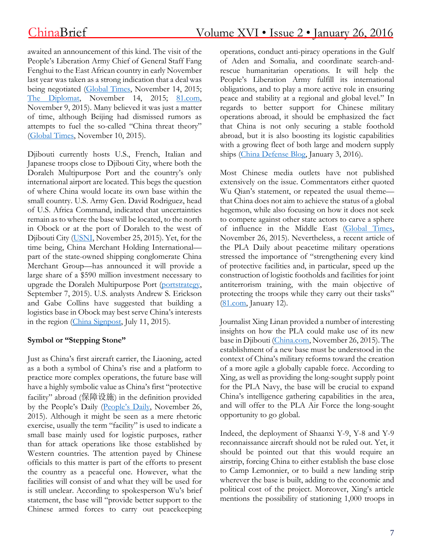awaited an announcement of this kind. The visit of the People's Liberation Army Chief of General Staff Fang Fenghui to the East African country in early November last year was taken as a strong indication that a deal was being negotiated [\(Global](http://opinion.huanqiu.com/1152/2015-11/7976011.html) Times, November 14, 2015; The [Diplomat,](http://thediplomat.com/2015/11/is-china-moving-closer-to-a-military-base-on-the-horn-of-africa/) November 14, 2015; [81.com,](http://english.chinamil.com.cn/news-channels/china-military-news/2015-11/09/content_6761210.htm) November 9, 2015). Many believed it was just a matter of time, although Beijing had dismissed rumors as attempts to fuel the so-called "China threat theory" [\(Global](http://www.globaltimes.cn/content/951745.shtml) Times, November 10, 2015).

Djibouti currently hosts U.S., French, Italian and Japanese troops close to Djibouti City, where both the Doraleh Multipurpose Port and the country's only international airport are located. This begs the question of where China would locate its own base within the small country. U.S. Army Gen. David Rodriguez, head of U.S. Africa Command, indicated that uncertainties remain as to where the base will be located, to the north in Obock or at the port of Doraleh to the west of Djibouti City [\(USNI,](http://news.usni.org/2015/11/25/u-s-africom-commander-confirms-chinese-logistics-base-in-djibouti) November 25, 2015). Yet, for the time being, China Merchant Holding International part of the state-owned shipping conglomerate China Merchant Group—has announced it will provide a large share of a \$590 million investment necessary to upgrade the Doraleh Multipurpose Port [\(portstrategy,](http://www.portstrategy.com/news101/world/africa/djibouti-expansion-plans) September 7, 2015). U.S. analysts Andrew S. Erickson and Gabe Collins have suggested that building a logistics base in Obock may best serve China's interests in the region (China [Signpost,](http://www.chinasignpost.com/2015/07/11/djibouti-likely-to-become-chinas-first-indian-ocean-outpost/) July 11, 2015).

#### **Symbol or "Stepping Stone"**

Just as China's first aircraft carrier, the Liaoning, acted as a both a symbol of China's rise and a platform to practice more complex operations, the future base will have a highly symbolic value as China's first "protective facility" abroad (保障设施) in the definition provided by the People's Daily ([People's](http://world.people.com.cn/n/2015/1126/c157278-27860707.html) Daily, November 26, 2015). Although it might be seen as a mere rhetoric exercise, usually the term "facility" is used to indicate a small base mainly used for logistic purposes, rather than for attack operations like those established by Western countries. The attention payed by Chinese officials to this matter is part of the efforts to present the country as a peaceful one. However, what the facilities will consist of and what they will be used for is still unclear. According to spokesperson Wu's brief statement, the base will "provide better support to the Chinese armed forces to carry out peacekeeping operations, conduct anti-piracy operations in the Gulf of Aden and Somalia, and coordinate search-andrescue humanitarian operations. It will help the People's Liberation Army fulfill its international obligations, and to play a more active role in ensuring peace and stability at a regional and global level." In regards to better support for Chinese military operations abroad, it should be emphasized the fact that China is not only securing a stable foothold abroad, but it is also boosting its logistic capabilities with a growing fleet of both large and modern supply ships (China [Defense](http://china-defense.blogspot.com/2016/01/boring-logistics-picture-of-day-launch.html) Blog, January 3, 2016).

Most Chinese media outlets have not published extensively on the issue. Commentators either quoted Wu Qian's statement, or repeated the usual theme that China does not aim to achieve the status of a global hegemon, while also focusing on how it does not seek to compete against other state actors to carve a sphere of influence in the Middle East [\(Global](http://news.21cn.com/world/guojisaomiao/a/2015/1126/02/30314192.shtml) Times, November 26, 2015). Nevertheless, a recent article of the PLA Daily about peacetime military operations stressed the importance of "strengthening every kind of protective facilities and, in particular, speed up the construction of logistic footholds and facilities for joint antiterrorism training, with the main objective of protecting the troops while they carry out their tasks" [\(81.com,](http://www.81.cn/jwgd/2016-01/12/content_6853585.htm) January 12).

Journalist Xing Linan provided a number of interesting insights on how the PLA could make use of its new base in Djibouti [\(China.com,](http://military.china.com/kangzhan70/zhjw/11173869/20151126/20826203_all.html#page_2) November 26, 2015). The establishment of a new base must be understood in the context of China's military reforms toward the creation of a more agile a globally capable force. According to Xing, as well as providing the long-sought supply point for the PLA Navy, the base will be crucial to expand China's intelligence gathering capabilities in the area, and will offer to the PLA Air Force the long-sought opportunity to go global.

Indeed, the deployment of Shaanxi Y-9, Y-8 and Y-9 reconnaissance aircraft should not be ruled out. Yet, it should be pointed out that this would require an airstrip, forcing China to either establish the base close to Camp Lemonnier, or to build a new landing strip wherever the base is built, adding to the economic and political cost of the project. Moreover, Xing's article mentions the possibility of stationing 1,000 troops in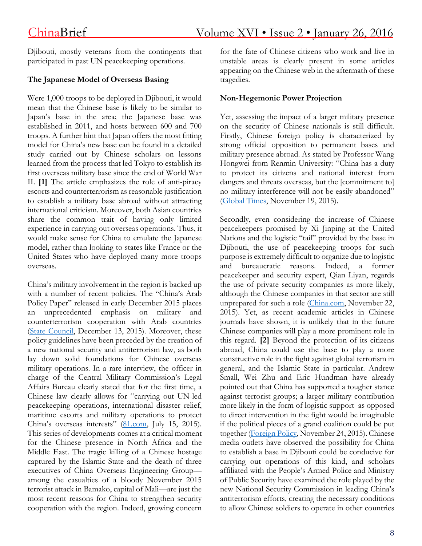Djibouti, mostly veterans from the contingents that participated in past UN peacekeeping operations.

### **The Japanese Model of Overseas Basing**

Were 1,000 troops to be deployed in Djibouti, it would mean that the Chinese base is likely to be similar to Japan's base in the area; the Japanese base was established in 2011, and hosts between 600 and 700 troops. A further hint that Japan offers the most fitting model for China's new base can be found in a detailed study carried out by Chinese scholars on lessons learned from the process that led Tokyo to establish its first overseas military base since the end of World War II. **[1]** The article emphasizes the role of anti-piracy escorts and counterterrorism as reasonable justification to establish a military base abroad without attracting international criticism. Moreover, both Asian countries share the common trait of having only limited experience in carrying out overseas operations. Thus, it would make sense for China to emulate the Japanese model, rather than looking to states like France or the United States who have deployed many more troops overseas.

China's military involvement in the region is backed up with a number of recent policies. The "China's Arab Policy Paper" released in early December 2015 places an unprecedented emphasis on military and counterterrorism cooperation with Arab countries (State [Council,](http://english.gov.cn/archive/publications/2016/01/13/content_281475271412746.htm) December 13, 2015). Moreover, these policy guidelines have been preceded by the creation of a new national security and antiterrorism law, as both lay down solid foundations for Chinese overseas military operations. In a rare interview, the officer in charge of the Central Military Commission's Legal Affairs Bureau clearly stated that for the first time, a Chinese law clearly allows for "carrying out UN-led peacekeeping operations, international disaster relief, maritime escorts and military operations to protect China's overseas interests" [\(81.com,](http://www.81.cn/jmywyl/2015-07/15/content_6586157_2.htm) July 15, 2015). This series of developments comes at a critical moment for the Chinese presence in North Africa and the Middle East. The tragic killing of a Chinese hostage captured by the Islamic State and the death of three executives of China Overseas Engineering Group among the casualties of a bloody November 2015 terrorist attack in Bamako, capital of Mali—are just the most recent reasons for China to strengthen security cooperation with the region. Indeed, growing concern

for the fate of Chinese citizens who work and live in unstable areas is clearly present in some articles appearing on the Chinese web in the aftermath of these tragedies.

### **Non-Hegemonic Power Projection**

Yet, assessing the impact of a larger military presence on the security of Chinese nationals is still difficult. Firstly, Chinese foreign policy is characterized by strong official opposition to permanent bases and military presence abroad. As stated by Professor Wang Hongwei from Renmin University: "China has a duty to protect its citizens and national interest from dangers and threats overseas, but the [commitment to] no military interference will not be easily abandoned" [\(Global](http://www.globaltimes.cn/content/953707.shtml#.Vk6ssp1z6vk.facebook) Times, November 19, 2015).

Secondly, even considering the increase of Chinese peacekeepers promised by Xi Jinping at the United Nations and the logistic "tail" provided by the base in Djibouti, the use of peacekeeping troops for such purpose is extremely difficult to organize due to logistic and bureaucratic reasons. Indeed, a former peacekeeper and security expert, Qian Liyan, regards the use of private security companies as more likely, although the Chinese companies in that sector are still unprepared for such a role [\(China.com,](http://www.china.com.cn/cppcc/2015-11/22/content_37128846.htm) November 22, 2015). Yet, as recent academic articles in Chinese journals have shown, it is unlikely that in the future Chinese companies will play a more prominent role in this regard. **[2]** Beyond the protection of its citizens abroad, China could use the base to play a more constructive role in the fight against global terrorism in general, and the Islamic State in particular. Andrew Small, Wei Zhu and Eric Hundman have already pointed out that China has supported a tougher stance against terrorist groups; a larger military contribution more likely in the form of logistic support as opposed to direct intervention in the fight would be imaginable if the political pieces of a grand coalition could be put together [\(Foreign](http://foreignpolicy.com/2015/11/24/china-islamic-state-terrorism-war-beijing-paris-us/?utm_content=buffer207e4&utm_medium=social&utm_source=facebook.com&utm_campaign=buffer) Policy, November 24, 2015). Chinese media outlets have observed the possibility for China to establish a base in Djibouti could be conducive for carrying out operations of this kind, and scholars affiliated with the People's Armed Police and Ministry of Public Security have examined the role played by the new National Security Commission in leading China's antiterrorism efforts, creating the necessary conditions to allow Chinese soldiers to operate in other countries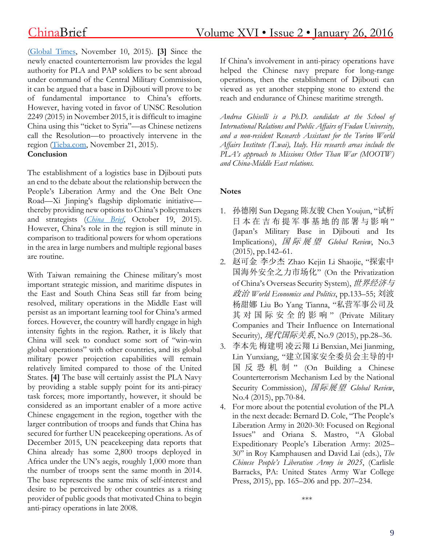newly enacted counterterrorism law provides the legal authority for PLA and PAP soldiers to be sent abroad under command of the Central Military Commission, it can be argued that a base in Djibouti will prove to be of fundamental importance to China's efforts. However, having voted in favor of UNSC Resolution 2249 (2015) in November 2015, it is difficult to imagine China using this "ticket to Syria"—as Chinese netizens call the Resolution—to proactively intervene in the region [\(Tieba.com,](http://tieba.baidu.com/p/4173255651) November 21, 2015). **Conclusion**

The establishment of a logistics base in Djibouti puts an end to the debate about the relationship between the People's Liberation Army and the One Belt One Road—Xi Jinping's flagship diplomatic initiative thereby providing new options to China's policymakers and strategists (*[China](http://www.jamestown.org/programs/chinabrief/single/?tx_ttnews%25255Btt_news%25255D=44498&cHash=6e55200c2fa85acde07b4719c9091b0b#.VpcKmxWLTIU) Brief*, October 19, 2015). However, China's role in the region is still minute in comparison to traditional powers for whom operations in the area in large numbers and multiple regional bases are routine.

With Taiwan remaining the Chinese military's most important strategic mission, and maritime disputes in the East and South China Seas still far from being resolved, military operations in the Middle East will persist as an important learning tool for China's armed forces. However, the country will hardly engage in high intensity fights in the region. Rather, it is likely that China will seek to conduct some sort of "win-win global operations" with other countries, and its global military power projection capabilities will remain relatively limited compared to those of the United States. **[4]** The base will certainly assist the PLA Navy by providing a stable supply point for its anti-piracy task forces; more importantly, however, it should be considered as an important enabler of a more active Chinese engagement in the region, together with the larger contribution of troops and funds that China has secured for further UN peacekeeping operations. As of December 2015, UN peacekeeping data reports that China already has some 2,800 troops deployed in Africa under the UN's aegis, roughly 1,000 more than the number of troops sent the same month in 2014. The base represents the same mix of self-interest and desire to be perceived by other countries as a rising provider of public goods that motivated China to begin anti-piracy operations in late 2008.

If China's involvement in anti-piracy operations have helped the Chinese navy prepare for long-range operations, then the establishment of Djibouti can viewed as yet another stepping stone to extend the reach and endurance of Chinese maritime strength.

*Andrea Ghiselli is a Ph.D. candidate at the School of International Relations and Public Affairs of Fudan University, and a non-resident Research Assistant for the Torino World Affairs Institute (T.wai), Italy. His research areas include the PLA's approach to Missions Other Than War (MOOTW) and China-Middle East relations.*

### **Notes**

- 1. 孙德刚 Sun Degang 陈友骏 Chen Youjun, "试析 日本在吉布提军事基地的部署与影响" (Japan's Military Base in Djibouti and Its Implications), 国 际 展 望 *Global Review*, No.3 (2015), pp.142–61.
- 2. 赵可金 李少杰 Zhao Kejin Li Shaojie, "探索中 国海外安全之力市场化" (On the Privatization of China's Overseas Security System), 世界经济与 政治 *World Economics and Politics*, pp.133–55; 刘波 杨甜娜 Liu Bo Yang Tianna, "私营军事公司及 其 对 国 际 安 全 的 影 响 " (Private Military Companies and Their Influence on International Security), 现代国际关系, No.9 (2015), pp.28–36.
- 3. 李本先 梅建明 凌云翔 Li Benxian, Mei Jianming, Lin Yunxiang, "建立国家安全委员会主导的中 国 反 恐 机 制 " (On Building a Chinese Counterterrorism Mechanism Led by the National Security Commission), 国际展望 *Global Review*, No.4 (2015), pp.70-84.
- 4. For more about the potential evolution of the PLA in the next decade: Bernard D. Cole, "The People's Liberation Army in 2020-30: Focused on Regional Issues" and Oriana S. Mastro, "A Global Expeditionary People's Liberation Army: 2025– 30" in Roy Kamphausen and David Lai (eds.), *The Chinese People's Liberation Army in 2025*, (Carlisle Barracks, PA: United States Army War College Press, 2015), pp. 165–206 and pp. 207–234.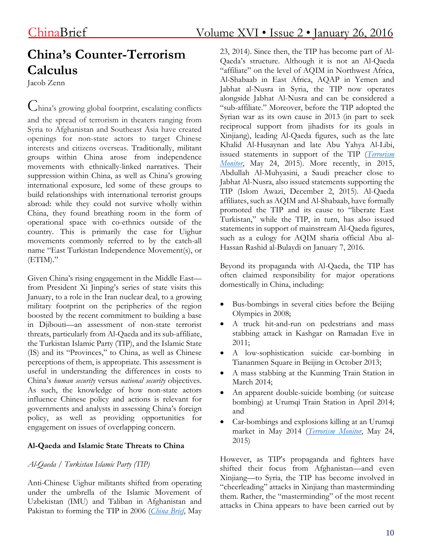# **China's Counter-Terrorism Calculus**

Jacob Zenn

China's growing global footprint, escalating conflicts and the spread of terrorism in theaters ranging from Syria to Afghanistan and Southeast Asia have created openings for non-state actors to target Chinese interests and citizens overseas. Traditionally, militant groups within China arose from independence movements with ethnically-linked narratives. Their suppression within China, as well as China's growing international exposure, led some of these groups to build relationships with international terrorist groups abroad: while they could not survive wholly within China, they found breathing room in the form of operational space with co-ethnics outside of the country. This is primarily the case for Uighur movements commonly referred to by the catch-all name "East Turkistan Independence Movement(s), or (ETIM)."

Given China's rising engagement in the Middle East from President Xi Jinping's series of state visits this January, to a role in the Iran nuclear deal, to a growing military footprint on the peripheries of the region boosted by the recent commitment to building a base in Djibouti—an assessment of non-state terrorist threats, particularly from Al-Qaeda and its sub-affiliate, the Turkistan Islamic Party (TIP), and the Islamic State (IS) and its "Provinces," to China, as well as Chinese perceptions of them, is appropriate. This assessment is useful in understanding the differences in costs to China's *human security* versus *national security* objectives. As such, the knowledge of how non-state actors influence Chinese policy and actions is relevant for governments and analysts in assessing China's foreign policy, as well as providing opportunities for engagement on issues of overlapping concern.

#### **Al-Qaeda and Islamic State Threats to China**

#### *Al-Qaeda / Turkistan Islamic Party (TIP)*

Anti-Chinese Uighur militants shifted from operating under the umbrella of the Islamic Movement of Uzbekistan (IMU) and Taliban in Afghanistan and Pakistan to forming the TIP in 2006 (*[China](http://www.jamestown.org/single/?tx_ttnews%255Btt_news%255D=42416&no_cache=1#.Vp8hsFN97I0) Brief*, May

23, 2014). Since then, the TIP has become part of Al-Qaeda's structure. Although it is not an Al-Qaeda "affiliate" on the level of AQIM in Northwest Africa, Al-Shabaab in East Africa, AQAP in Yemen and Jabhat al-Nusra in Syria, the TIP now operates alongside Jabhat Al-Nusra and can be considered a "sub-affiliate." Moreover, before the TIP adopted the Syrian war as its own cause in 2013 (in part to seek reciprocal support from jihadists for its goals in Xinjiang), leading Al-Qaeda figures, such as the late Khalid Al-Husaynan and late Abu Yahya Al-Libi, issued statements in support of the TIP (*[Terrorism](http://www.jamestown.org/single/?tx_ttnews%255Btt_news%255D=43968&no_cache=1#.Vp8iOVN97I0) [Monitor](http://www.jamestown.org/single/?tx_ttnews%255Btt_news%255D=43968&no_cache=1#.Vp8iOVN97I0)*, May 24, 2015). More recently, in 2015, Abdullah Al-Muhyasini, a Saudi preacher close to Jabhat Al-Nusra, also issued statements supporting the TIP (Islom Awazi, December 2, 2015). Al-Qaeda affiliates, such as AQIM and Al-Shabaab, have formally promoted the TIP and its cause to "liberate East Turkistan," while the TIP, in turn, has also issued statements in support of mainstream Al-Qaeda figures, such as a eulogy for AQIM sharia official Abu al-Hassan Rashid al-Bulaydi on January 7, 2016.

Beyond its propaganda with Al-Qaeda, the TIP has often claimed responsibility for major operations domestically in China, including:

- Bus-bombings in several cities before the Beijing Olympics in 2008;
- A truck hit-and-run on pedestrians and mass stabbing attack in Kashgar on Ramadan Eve in 2011;
- A low-sophistication suicide car-bombing in Tiananmen Square in Beijing in October 2013;
- A mass stabbing at the Kunming Train Station in March 2014;
- An apparent double-suicide bombing (or suitcase bombing) at Urumqi Train Station in April 2014; and
- Car-bombings and explosions killing at an Urumqi market in May 2014 (*[Terrorism](http://www.jamestown.org/single/?tx_ttnews%255Btt_news%255D=43968&no_cache=1#.Vp8iOVN97I0) Monitor*, May 24, 2015)

However, as TIP's propaganda and fighters have shifted their focus from Afghanistan—and even Xinjiang—to Syria, the TIP has become involved in "cheerleading" attacks in Xinjiang than masterminding them. Rather, the "masterminding" of the most recent attacks in China appears to have been carried out by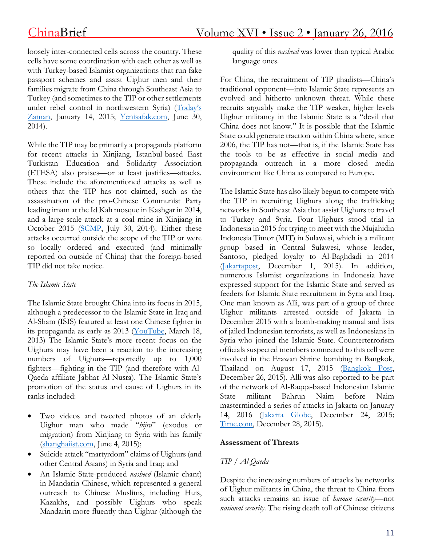loosely inter-connected cells across the country. These cells have some coordination with each other as well as with Turkey-based Islamist organizations that run fake passport schemes and assist Uighur men and their families migrate from China through Southeast Asia to Turkey (and sometimes to the TIP or other settlements under rebel control in northwestern Syria) ([Today's](http://www.todayszaman.com/anasayfa_report-china-arrests-10-turks-for-supplying-fake-passports-to-ethnic-uighurs_369744.html) [Zaman,](http://www.todayszaman.com/anasayfa_report-china-arrests-10-turks-for-supplying-fake-passports-to-ethnic-uighurs_369744.html) January 14, 2015; [Yenisafak.com,](http://www.yenisafak.com/en/columns/yusufkaplan/the-journey-of-life-and-truth-in-pattani-2004161) June 30, 2014).

While the TIP may be primarily a propaganda platform for recent attacks in Xinjiang, Istanbul-based East Turkistan Education and Solidarity Association (ETESA) also praises—or at least justifies—attacks. These include the aforementioned attacks as well as others that the TIP has not claimed, such as the assassination of the pro-Chinese Communist Party leading imam at the Id Kah mosque in Kashgar in 2014, and a large-scale attack at a coal mine in Xinjiang in October 2015 [\(SCMP,](http://www.scmp.com/news/china/article/1563724/pro-government-kashgar-imam-assasinated-religious-extremists) July 30, 2014). Either these attacks occurred outside the scope of the TIP or were so locally ordered and executed (and minimally reported on outside of China) that the foreign-based TIP did not take notice.

#### *The Islamic State*

The Islamic State brought China into its focus in 2015, although a predecessor to the Islamic State in Iraq and Al-Sham (ISIS) featured at least one Chinese fighter in its propaganda as early as 2013 [\(YouTube,](https://www.youtube.com/watch?v=lFPWxQXkdI4) March 18, 2013) The Islamic State's more recent focus on the Uighurs may have been a reaction to the increasing numbers of Uighurs—reportedly up to 1,000 fighters—fighting in the TIP (and therefore with Al-Qaeda affiliate Jabhat Al-Nusra). The Islamic State's promotion of the status and cause of Uighurs in its ranks included:

- Two videos and tweeted photos of an elderly Uighur man who made "*hijra*" (exodus or migration) from Xinjiang to Syria with his family [\(shanghaiist.com,](http://shanghaiist.com/2015/06/04/oldest_jihadi_from_china.php) June 4, 2015);
- Suicide attack "martyrdom" claims of Uighurs (and other Central Asians) in Syria and Iraq; and
- An Islamic State-produced *nasheed* (Islamic chant) in Mandarin Chinese, which represented a general outreach to Chinese Muslims, including Huis, Kazakhs, and possibly Uighurs who speak Mandarin more fluently than Uighur (although the

quality of this *nasheed* was lower than typical Arabic language ones.

For China, the recruitment of TIP jihadists—China's traditional opponent—into Islamic State represents an evolved and hitherto unknown threat. While these recruits arguably make the TIP weaker, higher levels Uighur militancy in the Islamic State is a "devil that China does not know." It is possible that the Islamic State could generate traction within China where, since 2006, the TIP has not—that is, if the Islamic State has the tools to be as effective in social media and propaganda outreach in a more closed media environment like China as compared to Europe.

The Islamic State has also likely begun to compete with the TIP in recruiting Uighurs along the trafficking networks in Southeast Asia that assist Uighurs to travel to Turkey and Syria. Four Uighurs stood trial in Indonesia in 2015 for trying to meet with the Mujahidin Indonesia Timor (MIT) in Sulawesi, which is a militant group based in Central Sulawesi, whose leader, Santoso, pledged loyalty to Al-Baghdadi in 2014 [\(Jakartapost,](http://www.thejakartapost.com/news/2015/12/01/indonesia-intensifies-hunt-most-wanted-terrorist-santoso.html) December 1, 2015). In addition, numerous Islamist organizations in Indonesia have expressed support for the Islamic State and served as feeders for Islamic State recruitment in Syria and Iraq. One man known as Alli, was part of a group of three Uighur militants arrested outside of Jakarta in December 2015 with a bomb-making manual and lists of jailed Indonesian terrorists, as well as Indonesians in Syria who joined the Islamic State. Counterterrorism officials suspected members connected to this cell were involved in the Erawan Shrine bombing in Bangkok, Thailand on August 17, 2015 [\(Bangkok](http://www.bangkokpost.com/news/asean/806628/uighur-tied-to-erawan-shrine-blast) Post, December 26, 2015). Alli was also reported to be part of the network of Al-Raqqa-based Indonesian Islamic State militant Bahrun Naim before Naim masterminded a series of attacks in Jakarta on January 14, 2016 [\(Jakarta](http://jakartaglobe.beritasatu.com/news/uighur-arrested-densus-88-suspected-preparing-suicide-bombing/) Globe, December 24, 2015; [Time.com,](http://time.com/4161906/uighur-terrorism-indonesia-thailand-islam-isis/) December 28, 2015).

#### **Assessment of Threats**

## *TIP / Al-Qaeda*

Despite the increasing numbers of attacks by networks of Uighur militants in China, the threat to China from such attacks remains an issue of *human security*—not *national security*. The rising death toll of Chinese citizens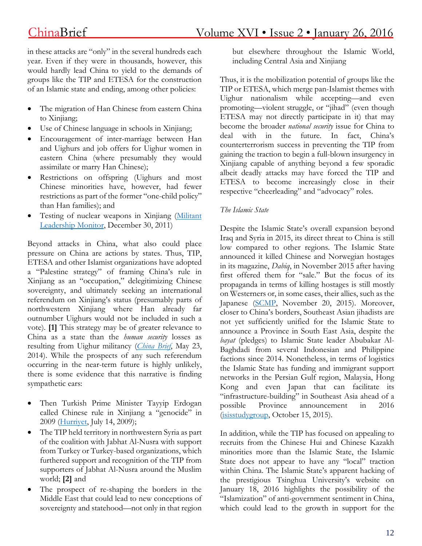in these attacks are "only" in the several hundreds each year. Even if they were in thousands, however, this would hardly lead China to yield to the demands of groups like the TIP and ETESA for the construction of an Islamic state and ending, among other policies:

- The migration of Han Chinese from eastern China to Xinjiang;
- Use of Chinese language in schools in Xinjiang;
- Encouragement of inter-marriage between Han and Uighurs and job offers for Uighur women in eastern China (where presumably they would assimilate or marry Han Chinese);
- Restrictions on offspring (Uighurs and most Chinese minorities have, however, had fewer restrictions as part of the former "one-child policy" than Han families); and
- Testing of nuclear weapons in Xinjiang [\(Militant](http://mlm.jamestown.org/single/?tx_ttnews%255Btt_news%255D=38823&tx_ttnews%255BbackPid%255D=539#.Vp8yC1N97I0) [Leadership](http://mlm.jamestown.org/single/?tx_ttnews%255Btt_news%255D=38823&tx_ttnews%255BbackPid%255D=539#.Vp8yC1N97I0) Monitor, December 30, 2011)

Beyond attacks in China, what also could place pressure on China are actions by states. Thus, TIP, ETESA and other Islamist organizations have adopted a "Palestine strategy" of framing China's rule in Xinjiang as an "occupation," delegitimizing Chinese sovereignty, and ultimately seeking an international referendum on Xinjiang's status (presumably parts of northwestern Xinjiang where Han already far outnumber Uighurs would not be included in such a vote). **[1]** This strategy may be of greater relevance to China as a state than the *human security* losses as resulting from Uighur militancy (*[China](http://www.jamestown.org/single/?tx_ttnews%255Btt_news%255D=42416&no_cache=1#.Vp8hsFN97I0) Brief*, May 23, 2014). While the prospects of any such referendum occurring in the near-term future is highly unlikely, there is some evidence that this narrative is finding sympathetic ears:

- Then Turkish Prime Minister Tayyip Erdogan called Chinese rule in Xinjiang a "genocide" in 2009 [\(Hurriyet,](http://www.hurriyetdailynews.com/china-dismisses-turkish-pms-genocide-remarks.aspx?pageID=438&n=china-dismisses-turkish-pms-genocide-remarks-2009-07-14) July 14, 2009);
- The TIP held territory in northwestern Syria as part of the coalition with Jabhat Al-Nusra with support from Turkey or Turkey-based organizations, which furthered support and recognition of the TIP from supporters of Jabhat Al-Nusra around the Muslim world; **[2]** and
- The prospect of re-shaping the borders in the Middle East that could lead to new conceptions of sovereignty and statehood—not only in that region

but elsewhere throughout the Islamic World, including Central Asia and Xinjiang

Thus, it is the mobilization potential of groups like the TIP or ETESA, which merge pan-Islamist themes with Uighur nationalism while accepting—and even promoting—violent struggle, or "jihad" (even though ETESA may not directly participate in it) that may become the broader *national security* issue for China to deal with in the future. In fact, China's counterterrorism success in preventing the TIP from gaining the traction to begin a full-blown insurgency in Xinjiang capable of anything beyond a few sporadic albeit deadly attacks may have forced the TIP and ETESA to become increasingly close in their respective "cheerleading" and "advocacy" roles.

#### *The Islamic State*

Despite the Islamic State's overall expansion beyond Iraq and Syria in 2015, its direct threat to China is still low compared to other regions. The Islamic State announced it killed Chinese and Norwegian hostages in its magazine, *Dabiq*, in November 2015 after having first offered them for "sale." But the focus of its propaganda in terms of killing hostages is still mostly on Westerners or, in some cases, their allies, such as the Japanese [\(SCMP,](http://www.scmp.com/news/china/diplomacy-defence/article/1880789/chinas-plan-rescue-islamic-state-hostage-fan-jinghui) November 20, 2015). Moreover, closer to China's borders, Southeast Asian jihadists are not yet sufficiently unified for the Islamic State to announce a Province in South East Asia, despite the *bayat* (pledges) to Islamic State leader Abubakar Al-Baghdadi from several Indonesian and Philippine factions since 2014. Nonetheless, in terms of logistics the Islamic State has funding and immigrant support networks in the Persian Gulf region, Malaysia, Hong Kong and even Japan that can facilitate its "infrastructure-building" in Southeast Asia ahead of a possible Province announcement in 2016 [\(isisstudygroup,](http://isisstudygroup.com/?tag=southeast-asia) October 15, 2015).

In addition, while the TIP has focused on appealing to recruits from the Chinese Hui and Chinese Kazakh minorities more than the Islamic State, the Islamic State does not appear to have any "local" traction within China. The Islamic State's apparent hacking of the prestigious Tsinghua University's website on January 18, 2016 highlights the possibility of the "Islamization" of anti-government sentiment in China, which could lead to the growth in support for the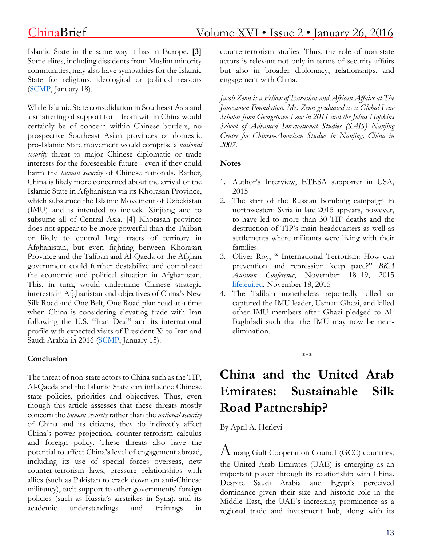Islamic State in the same way it has in Europe. **[3]** Some elites, including dissidents from Muslim minority communities, may also have sympathies for the Islamic State for religious, ideological or political reasons [\(SCMP,](http://www.scmp.com/news/china/policies-politics/article/1902268/islamic-state-hackers-attack-top-tier-chinese) January 18).

While Islamic State consolidation in Southeast Asia and a smattering of support for it from within China would certainly be of concern within Chinese borders, no prospective Southeast Asian provinces or domestic pro-Islamic State movement would comprise a *national security* threat to major Chinese diplomatic or trade interests for the foreseeable future - even if they could harm the *human security* of Chinese nationals. Rather, China is likely more concerned about the arrival of the Islamic State in Afghanistan via its Khorasan Province, which subsumed the Islamic Movement of Uzbekistan (IMU) and is intended to include Xinjiang and to subsume all of Central Asia. **[4]** Khorasan province does not appear to be more powerful than the Taliban or likely to control large tracts of territory in Afghanistan, but even fighting between Khorasan Province and the Taliban and Al-Qaeda or the Afghan government could further destabilize and complicate the economic and political situation in Afghanistan. This, in turn, would undermine Chinese strategic interests in Afghanistan and objectives of China's New Silk Road and One Belt, One Road plan road at a time when China is considering elevating trade with Iran following the U.S. "Iran Deal" and its international profile with expected visits of President Xi to Iran and Saudi Arabia in 2016 [\(SCMP,](http://www.scmp.com/news/china/diplomacy-defence/article/1901092/xi-jinping-man-defuse-tensions-middle-east-landmark) January 15).

#### **Conclusion**

The threat of non-state actors to China such as the TIP, Al-Qaeda and the Islamic State can influence Chinese state policies, priorities and objectives. Thus, even though this article assesses that these threats mostly concern the *human security* rather than the *national security* of China and its citizens, they do indirectly affect China's power projection, counter-terrorism calculus and foreign policy. These threats also have the potential to affect China's level of engagement abroad, including its use of special forces overseas, new counter-terrorism laws, pressure relationships with allies (such as Pakistan to crack down on anti-Chinese militancy), tacit support to other governments' foreign policies (such as Russia's airstrikes in Syria), and its academic understandings and trainings in counterterrorism studies. Thus, the role of non-state actors is relevant not only in terms of security affairs but also in broader diplomacy, relationships, and engagement with China.

*Jacob Zenn is a Fellow of Eurasian and African Affairs at The Jamestown Foundation. Mr. Zenn graduated as a Global Law Scholar from Georgetown Law in 2011 and the Johns Hopkins School of Advanced International Studies (SAIS) Nanjing Center for Chinese-American Studies in Nanjing, China in 2007.*

#### **Notes**

- 1. Author's Interview, ETESA supporter in USA, 2015
- 2. The start of the Russian bombing campaign in northwestern Syria in late 2015 appears, however, to have led to more than 30 TIP deaths and the destruction of TIP's main headquarters as well as settlements where militants were living with their families.
- 3. Oliver Roy, " International Terrorism: How can prevention and repression keep pace?" *BKA Autumn Conference*, November 18–19, 2015 [life.eui.eu,](https://life.eui.eu/wp-content/uploads/2015/11/OLIVIER-ROY-what-is-a-radical-islamist.pdf) November 18, 2015
- 4. The Taliban nonetheless reportedly killed or captured the IMU leader, Usman Ghazi, and killed other IMU members after Ghazi pledged to Al-Baghdadi such that the IMU may now be nearelimination.

**China and the United Arab Emirates: Sustainable Silk Road Partnership?**

\*\*\*

By April A. Herlevi

Among Gulf Cooperation Council (GCC) countries, the United Arab Emirates (UAE) is emerging as an important player through its relationship with China. Despite Saudi Arabia and Egypt's perceived dominance given their size and historic role in the Middle East, the UAE's increasing prominence as a regional trade and investment hub, along with its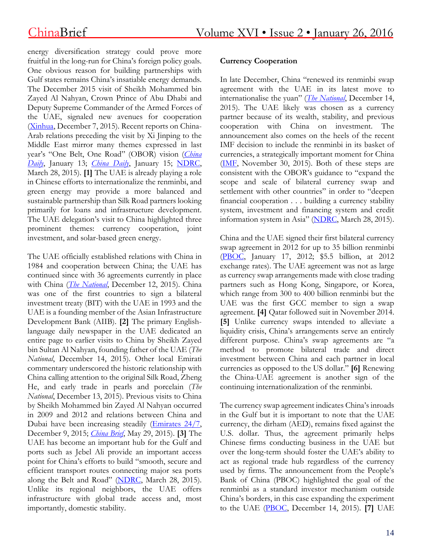energy diversification strategy could prove more fruitful in the long-run for China's foreign policy goals. One obvious reason for building partnerships with Gulf states remains China's insatiable energy demands. The December 2015 visit of Sheikh Mohammed bin Zayed Al Nahyan, Crown Prince of Abu Dhabi and Deputy Supreme Commander of the Armed Forces of the UAE, signaled new avenues for cooperation [\(Xinhua,](http://news.xinhuanet.com/english/2015-12/07/c_134893538.htm) December 7, 2015). Recent reports on China-Arab relations preceding the visit by Xi Jinping to the Middle East mirror many themes expressed in last year's "One Belt, One Road" (OBOR) vision (*[China](http://www.chinadaily.com.cn/world/2016-01/13/content_23075665.htm) [Daily](http://www.chinadaily.com.cn/world/2016-01/13/content_23075665.htm)*, January 13; *[China](http://www.chinadaily.com.cn/world/2016xivisitmiddleeast/2016-01/15/content_23110997.htm) Daily*, January 15; [NDRC,](http://en.ndrc.gov.cn/newsrelease/201503/t20150330_669367.html) March 28, 2015). **[1]** The UAE is already playing a role in Chinese efforts to internationalize the renminbi, and green energy may provide a more balanced and sustainable partnership than Silk Road partners looking primarily for loans and infrastructure development. The UAE delegation's visit to China highlighted three prominent themes: currency cooperation, joint investment, and solar-based green energy.

The UAE officially established relations with China in 1984 and cooperation between China; the UAE has continued since with 36 agreements currently in place with China (*The [National](http://www.thenational.ae/opinion/editorial/a-deepening-relationship-with-beijing)*, December 12, 2015). China was one of the first countries to sign a bilateral investment treaty (BIT) with the UAE in 1993 and the UAE is a founding member of the Asian Infrastructure Development Bank (AIIB). **[2]** The primary Englishlanguage daily newspaper in the UAE dedicated an entire page to earlier visits to China by Sheikh Zayed bin Sultan Al Nahyan, founding father of the UAE (*The National*, December 14, 2015). Other local Emirati commentary underscored the historic relationship with China calling attention to the original Silk Road, Zheng He, and early trade in pearls and porcelain (*The National*, December 13, 2015). Previous visits to China by Sheikh Mohammed bin Zayed Al Nahyan occurred in 2009 and 2012 and relations between China and Dubai have been increasing steadily [\(Emirates](http://www.emirates247.com/news/government/mohamed-s-visit-to-bring-paradigm-shift-in-uae-china-relations-sultan-al-jaber-2015-12-09-1.613410) 24/7, December 9, 2015; *[China](http://www.jamestown.org/programs/chinabrief/single/?tx_ttnews%255Btt_news%255D=43961&tx_ttnews%255BbackPid%255D=789&no_cache=1#.Vpt_I85OJ1s) Brief*, May 29, 2015). **[3]** The UAE has become an important hub for the Gulf and ports such as Jebel Ali provide an important access point for China's efforts to build "smooth, secure and efficient transport routes connecting major sea ports along the Belt and Road" [\(NDRC,](http://en.ndrc.gov.cn/newsrelease/201503/t20150330_669367.html) March 28, 2015). Unlike its regional neighbors, the UAE offers infrastructure with global trade access and, most importantly, domestic stability.

#### **Currency Cooperation**

In late December, China "renewed its renminbi swap agreement with the UAE in its latest move to internationalise the yuan" (*The [National](http://www.thenational.ae/business/economy/uae-renews-renminbi-swap-deal-with-china)*, December 14, 2015). The UAE likely was chosen as a currency partner because of its wealth, stability, and previous cooperation with China on investment. The announcement also comes on the heels of the recent IMF decision to include the renminbi in its basket of currencies, a strategically important moment for China [\(IMF,](https://www.imf.org/external/np/sec/pr/2015/pr15540.htm) November 30, 2015). Both of these steps are consistent with the OBOR's guidance to "expand the scope and scale of bilateral currency swap and settlement with other countries" in order to "deepen financial cooperation . . . building a currency stability system, investment and financing system and credit information system in Asia" [\(NDRC,](http://en.ndrc.gov.cn/newsrelease/201503/t20150330_669367.html) March 28, 2015).

China and the UAE signed their first bilateral currency swap agreement in 2012 for up to 35 billion renminbi [\(PBOC,](http://www.pbc.gov.cn/goutongjiaoliu/113456/113469/1003118/index.html) January 17, 2012; \$5.5 billion, at 2012 exchange rates). The UAE agreement was not as large as currency swap arrangements made with close trading partners such as Hong Kong, Singapore, or Korea, which range from 300 to 400 billion renminbi but the UAE was the first GCC member to sign a swap agreement. **[4]** Qatar followed suit in November 2014. **[5]** Unlike currency swaps intended to alleviate a liquidity crisis, China's arrangements serve an entirely different purpose. China's swap agreements are "a method to promote bilateral trade and direct investment between China and each partner in local currencies as opposed to the US dollar." **[6]** Renewing the China-UAE agreement is another sign of the continuing internationalization of the renminbi.

The currency swap agreement indicates China's inroads in the Gulf but it is important to note that the UAE currency, the dirham (AED), remains fixed against the U.S. dollar. Thus, the agreement primarily helps Chinese firms conducting business in the UAE but over the long-term should foster the UAE's ability to act as regional trade hub regardless of the currency used by firms. The announcement from the People's Bank of China (PBOC) highlighted the goal of the renminbi as a standard investor mechanism outside China's borders, in this case expanding the experiment to the UAE [\(PBOC,](http://www.pbc.gov.cn/goutongjiaoliu/113456/113469/2988821/index.html) December 14, 2015). **[7]** UAE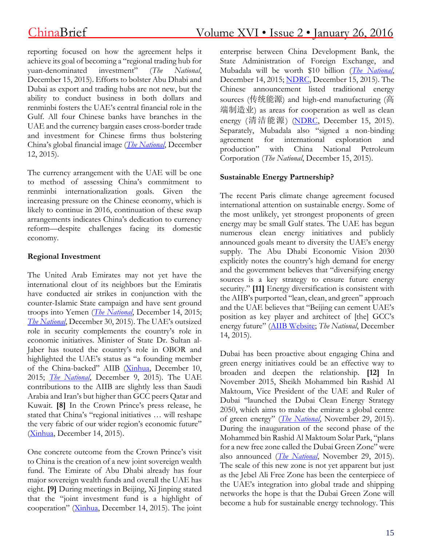reporting focused on how the agreement helps it achieve its goal of becoming a "regional trading hub for yuan-denominated investment" (*The National*, December 15, 2015). Efforts to bolster Abu Dhabi and Dubai as export and trading hubs are not new, but the ability to conduct business in both dollars and renminbi fosters the UAE's central financial role in the Gulf. All four Chinese banks have branches in the UAE and the currency bargain eases cross-border trade and investment for Chinese firms thus bolstering China's global financial image (*The [National](http://www.thenational.ae/opinion/comment/visit-marks-the-beginning-of-a-new-era-of-uae-china-relations#full)*, December 12, 2015).

The currency arrangement with the UAE will be one to method of assessing China's commitment to renminbi internationalization goals. Given the increasing pressure on the Chinese economy, which is likely to continue in 2016, continuation of these swap arrangements indicates China's dedication to currency reform—despite challenges facing its domestic economy.

#### **Regional Investment**

The United Arab Emirates may not yet have the international clout of its neighbors but the Emiratis have conducted air strikes in conjunction with the counter-Islamic State campaign and have sent ground troops into Yemen (*The [National](http://www.thenational.ae/uae/uae-fighter-pilot-awarded-at-un)*, December 14, 2015; *The [National](http://www.thenational.ae/uae/uae-news-in-review-2015-a-year-of-sacrifice-and-honour-for-armed-forces)*, December 30, 2015). The UAE's outsized role in security complements the country's role in economic initiatives. Minister of State Dr. Sultan al-Jaber has touted the country's role in OBOR and highlighted the UAE's status as "a founding member of the China-backed" AIIB [\(Xinhua,](http://news.xinhuanet.com/english/2015-12/10/c_134901082.htm) December 10, 2015; *The [National](http://www.thenational.ae/uae/government/uae-and-china-to-rewrite-relations)*, December 9, 2015). The UAE contributions to the AIIB are slightly less than Saudi Arabia and Iran's but higher than GCC peers Qatar and Kuwait. **[8]** In the Crown Prince's press release, he stated that China's "regional initiatives … will reshape the very fabric of our wider region's economic future" [\(Xinhua,](http://news.xinhuanet.com/english/china/2015-12/14/c_134916024.htm) December 14, 2015).

One concrete outcome from the Crown Prince's visit to China is the creation of a new joint sovereign wealth fund. The Emirate of Abu Dhabi already has four major sovereign wealth funds and overall the UAE has eight. **[9]** During meetings in Beijing, Xi Jinping stated that the "joint investment fund is a highlight of cooperation" [\(Xinhua,](http://news.xinhuanet.com/english/2015-12/14/c_134916419.htm) December 14, 2015). The joint enterprise between China Development Bank, the State Administration of Foreign Exchange, and Mubadala will be worth \$10 billion (*The [National](http://www.thenational.ae/business/economy/uae-china-to-set-up-10bn-joint-strategic-investment-fund)*, December 14, 2015; [NDRC,](http://www.ndrc.gov.cn/gzdt/201512/t20151215_762317.html) December 15, 2015). The Chinese announcement listed traditional energy sources (传统能源) and high-end manufacturing (高 端制造业) as areas for cooperation as well as clean energy (清洁能源) [\(NDRC,](http://www.ndrc.gov.cn/gzdt/201512/t20151215_762317.html) December 15, 2015). Separately, Mubadala also "signed a non-binding agreement for international exploration and production" with China National Petroleum Corporation (*The National*, December 15, 2015).

#### **Sustainable Energy Partnership?**

The recent Paris climate change agreement focused international attention on sustainable energy. Some of the most unlikely, yet strongest proponents of green energy may be small Gulf states. The UAE has begun numerous clean energy initiatives and publicly announced goals meant to diversity the UAE's energy supply. The Abu Dhabi Economic Vision 2030 explicitly notes the country's high demand for energy and the government believes that "diversifying energy sources is a key strategy to ensure future energy security." **[11]** Energy diversification is consistent with the AIIB's purported "lean, clean, and green" approach and the UAE believes that "Beijing can cement UAE's position as key player and architect of [the] GCC's energy future" (AIIB [Website;](http://www.aiib.org/html/jobs/jobs%2520for%2520aiib/what%2520we%2520look%2520for/) *The National*, December 14, 2015).

Dubai has been proactive about engaging China and green energy initiatives could be an effective way to broaden and deepen the relationship. **[12]** In November 2015, Sheikh Mohammed bin Rashid Al Maktoum, Vice President of the UAE and Ruler of Dubai "launched the Dubai Clean Energy Strategy 2050, which aims to make the emirate a global centre of green energy" (*The [National](http://www.thenational.ae/business/energy/dubai-ruler-wants-solar-panels-on-every-roof-by-2030)*, November 29, 2015). During the inauguration of the second phase of the Mohammed bin Rashid Al Maktoum Solar Park, "plans for a new free zone called the Dubai Green Zone" were also announced (*The [National](http://www.thenational.ae/business/energy/dubai-ruler-wants-solar-panels-on-every-roof-by-2030)*, November 29, 2015). The scale of this new zone is not yet apparent but just as the Jebel Ali Free Zone has been the centerpiece of the UAE's integration into global trade and shipping networks the hope is that the Dubai Green Zone will become a hub for sustainable energy technology. This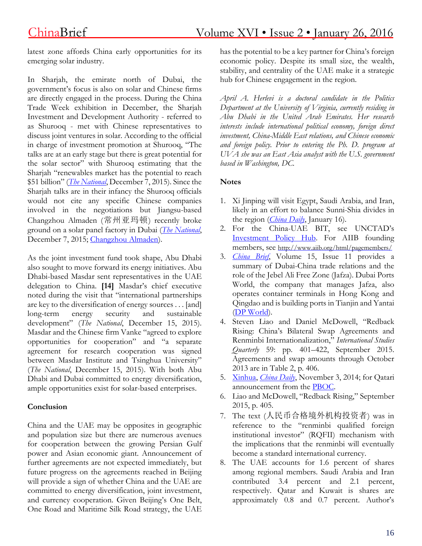latest zone affords China early opportunities for its emerging solar industry.

In Sharjah, the emirate north of Dubai, the government's focus is also on solar and Chinese firms are directly engaged in the process. During the China Trade Week exhibition in December, the Sharjah Investment and Development Authority - referred to as Shurooq - met with Chinese representatives to discuss joint ventures in solar. According to the official in charge of investment promotion at Shurooq, "The talks are at an early stage but there is great potential for the solar sector" with Shurooq estimating that the Sharjah "renewables market has the potential to reach \$51 billion" (*The [National](http://www.thenational.ae/business/economy/sharjah-in-talks-with-chinese-on-solar-deal-as-part-of-broader-trade-push)*, December 7, 2015). Since the Sharjah talks are in their infancy the Shurooq officials would not cite any specific Chinese companies involved in the negotiations but Jiangsu-based Changzhou Almaden (常州亚玛顿) recently broke ground on a solar panel factory in Dubai (*The [National](http://www.thenational.ae/business/economy/sharjah-in-talks-with-chinese-on-solar-deal-as-part-of-broader-trade-push)*, December 7, 2015; [Changzhou](http://www.czamd.com/old/index-2.html) Almaden).

As the joint investment fund took shape, Abu Dhabi also sought to move forward its energy initiatives. Abu Dhabi-based Masdar sent representatives in the UAE delegation to China. **[14]** Masdar's chief executive noted during the visit that "international partnerships are key to the diversification of energy sources . . . [and] long-term energy security and sustainable development" (*The National*, December 15, 2015). Masdar and the Chinese firm Vanke "agreed to explore opportunities for cooperation" and "a separate agreement for research cooperation was signed between Masdar Institute and Tsinghua University" (*The National*, December 15, 2015). With both Abu Dhabi and Dubai committed to energy diversification, ample opportunities exist for solar-based enterprises.

#### **Conclusion**

China and the UAE may be opposites in geographic and population size but there are numerous avenues for cooperation between the growing Persian Gulf power and Asian economic giant. Announcement of further agreements are not expected immediately, but future progress on the agreements reached in Beijing will provide a sign of whether China and the UAE are committed to energy diversification, joint investment, and currency cooperation. Given Beijing's One Belt, One Road and Maritime Silk Road strategy, the UAE

has the potential to be a key partner for China's foreign economic policy. Despite its small size, the wealth, stability, and centrality of the UAE make it a strategic hub for Chinese engagement in the region.

*April A. Herlevi is a doctoral candidate in the Politics Department at the University of Virginia, currently residing in Abu Dhabi in the United Arab Emirates. Her research interests include international political economy, foreign direct investment, China-Middle East relations, and Chinese economic and foreign policy. Prior to entering the Ph. D. program at UVA she was an East Asia analyst with the U.S. government based in Washington, DC.*

### **Notes**

- 1. Xi Jinping will visit Egypt, Saudi Arabia, and Iran, likely in an effort to balance Sunni-Shia divides in the region (*[China](http://europe.chinadaily.com.cn/world/2016-01/16/content_23121045.htm) Daily*, January 16).
- 2. For the China-UAE BIT, see UNCTAD's [Investment](http://investmentpolicyhub.unctad.org/IIA/country/220/treaty/988) Policy Hub. For AIIB founding members, see <http://www.aiib.org/html/pagemembers/>
- 3. *[China](http://www.jamestown.org/programs/chinabrief/single/?tx_ttnews%255Btt_news%255D=43961&tx_ttnews%255BbackPid%255D=789&no_cache=1#.Vpt_I85OJ1s) Brief*, Volume 15, Issue 11 provides a summary of Dubai-China trade relations and the role of the Jebel Ali Free Zone (Jafza). Dubai Ports World, the company that manages Jafza, also operates container terminals in Hong Kong and Qingdao and is building ports in Tianjin and Yantai (DP [World\)](http://web.dpworld.com/our-business/marine-terminals/).
- 4. Steven Liao and Daniel McDowell, "Redback Rising: China's Bilateral Swap Agreements and Renminbi Internationalization," *International Studies Quarterly* 59: pp. 401–422, September 2015. Agreements and swap amounts through October 2013 are in Table 2, p. 406.
- 5. [Xinhua,](http://news.xinhuanet.com/english/china/2014-11/03/c_133763292.htm) *[China](http://www.chinadaily.com.cn/business/2014-11/03/content_18860134.htm) Daily*, November 3, 2014; for Qatari announcement from the [PBOC.](http://www.pbc.gov.cn/goutongjiaoliu/113456/113469/1018350/index.html)
- 6. Liao and McDowell, "Redback Rising," September 2015, p. 405.
- 7. The text (人民币合格境外机构投资者) was in reference to the "renminbi qualified foreign institutional investor" (RQFII) mechanism with the implications that the renminbi will eventually become a standard international currency.
- 8. The UAE accounts for 1.6 percent of shares among regional members. Saudi Arabia and Iran contributed 3.4 percent and 2.1 percent, respectively. Qatar and Kuwait is shares are approximately 0.8 and 0.7 percent. Author's